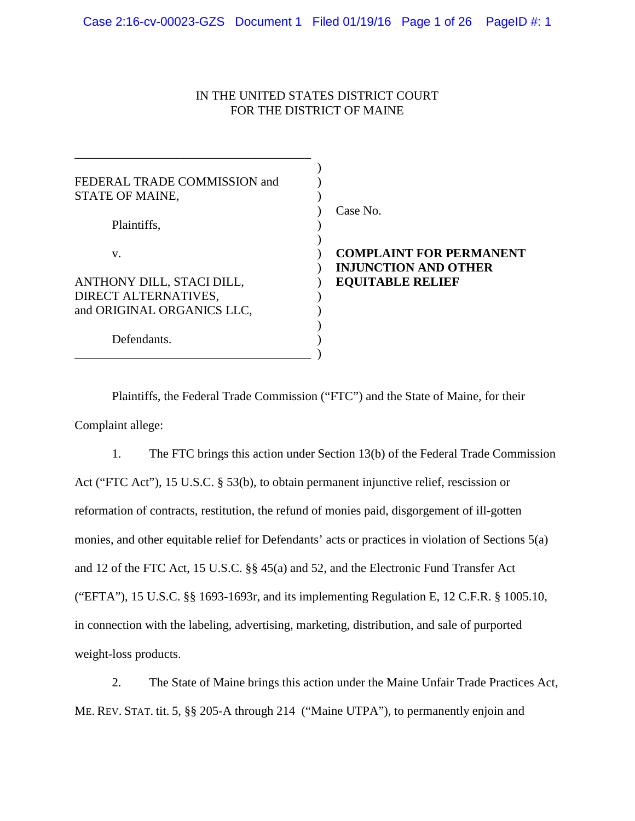# IN THE UNITED STATES DISTRICT COURT FOR THE DISTRICT OF MAINE

| FEDERAL TRADE COMMISSION and<br>STATE OF MAINE, |                                                               |
|-------------------------------------------------|---------------------------------------------------------------|
| Plaintiffs,                                     | Case No.                                                      |
| V.                                              | <b>COMPLAINT FOR PERMANENT</b><br><b>INJUNCTION AND OTHER</b> |
| ANTHONY DILL, STACI DILL,                       | <b>EQUITABLE RELIEF</b>                                       |
| DIRECT ALTERNATIVES,                            |                                                               |
| and ORIGINAL ORGANICS LLC,                      |                                                               |
| Defendants.                                     |                                                               |

Plaintiffs, the Federal Trade Commission ("FTC") and the State of Maine, for their Complaint allege:

1. The FTC brings this action under Section 13(b) of the Federal Trade Commission Act ("FTC Act"), 15 U.S.C. § 53(b), to obtain permanent injunctive relief, rescission or reformation of contracts, restitution, the refund of monies paid, disgorgement of ill-gotten monies, and other equitable relief for Defendants' acts or practices in violation of Sections 5(a) and 12 of the FTC Act, 15 U.S.C. §§ 45(a) and 52, and the Electronic Fund Transfer Act ("EFTA"), 15 U.S.C. §§ 1693-1693r, and its implementing Regulation E, 12 C.F.R. § 1005.10, in connection with the labeling, advertising, marketing, distribution, and sale of purported weight-loss products.

2. The State of Maine brings this action under the Maine Unfair Trade Practices Act, ME. REV. STAT. tit. 5, §§ 205-A through 214 ("Maine UTPA"), to permanently enjoin and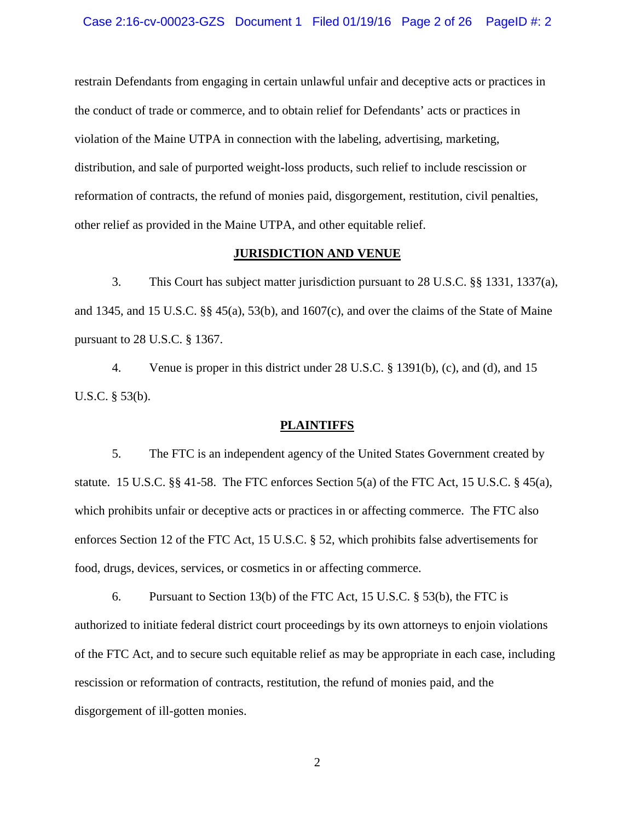restrain Defendants from engaging in certain unlawful unfair and deceptive acts or practices in the conduct of trade or commerce, and to obtain relief for Defendants' acts or practices in violation of the Maine UTPA in connection with the labeling, advertising, marketing, distribution, and sale of purported weight-loss products, such relief to include rescission or reformation of contracts, the refund of monies paid, disgorgement, restitution, civil penalties, other relief as provided in the Maine UTPA, and other equitable relief.

### **JURISDICTION AND VENUE**

3. This Court has subject matter jurisdiction pursuant to 28 U.S.C. §§ 1331, 1337(a), and 1345, and 15 U.S.C. §§ 45(a), 53(b), and 1607(c), and over the claims of the State of Maine pursuant to 28 U.S.C. § 1367.

4. Venue is proper in this district under 28 U.S.C. § 1391(b), (c), and (d), and 15 U.S.C. § 53(b).

#### **PLAINTIFFS**

5. The FTC is an independent agency of the United States Government created by statute. 15 U.S.C. §§ 41-58. The FTC enforces Section 5(a) of the FTC Act, 15 U.S.C. § 45(a), which prohibits unfair or deceptive acts or practices in or affecting commerce. The FTC also enforces Section 12 of the FTC Act, 15 U.S.C. § 52, which prohibits false advertisements for food, drugs, devices, services, or cosmetics in or affecting commerce.

6. Pursuant to Section 13(b) of the FTC Act, 15 U.S.C.  $\S$  53(b), the FTC is authorized to initiate federal district court proceedings by its own attorneys to enjoin violations of the FTC Act, and to secure such equitable relief as may be appropriate in each case, including rescission or reformation of contracts, restitution, the refund of monies paid, and the disgorgement of ill-gotten monies.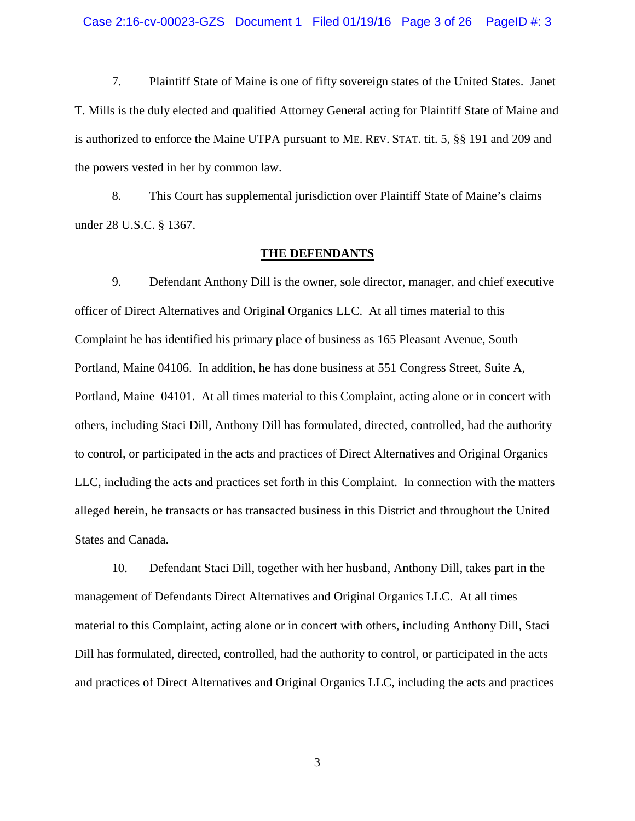7. Plaintiff State of Maine is one of fifty sovereign states of the United States. Janet T. Mills is the duly elected and qualified Attorney General acting for Plaintiff State of Maine and is authorized to enforce the Maine UTPA pursuant to ME. REV. STAT. tit. 5, §§ 191 and 209 and the powers vested in her by common law.

8. This Court has supplemental jurisdiction over Plaintiff State of Maine's claims under 28 U.S.C. § 1367.

### **THE DEFENDANTS**

9. Defendant Anthony Dill is the owner, sole director, manager, and chief executive officer of Direct Alternatives and Original Organics LLC. At all times material to this Complaint he has identified his primary place of business as 165 Pleasant Avenue, South Portland, Maine 04106. In addition, he has done business at 551 Congress Street, Suite A, Portland, Maine 04101. At all times material to this Complaint, acting alone or in concert with others, including Staci Dill, Anthony Dill has formulated, directed, controlled, had the authority to control, or participated in the acts and practices of Direct Alternatives and Original Organics LLC, including the acts and practices set forth in this Complaint. In connection with the matters alleged herein, he transacts or has transacted business in this District and throughout the United States and Canada.

10. Defendant Staci Dill, together with her husband, Anthony Dill, takes part in the management of Defendants Direct Alternatives and Original Organics LLC. At all times material to this Complaint, acting alone or in concert with others, including Anthony Dill, Staci Dill has formulated, directed, controlled, had the authority to control, or participated in the acts and practices of Direct Alternatives and Original Organics LLC, including the acts and practices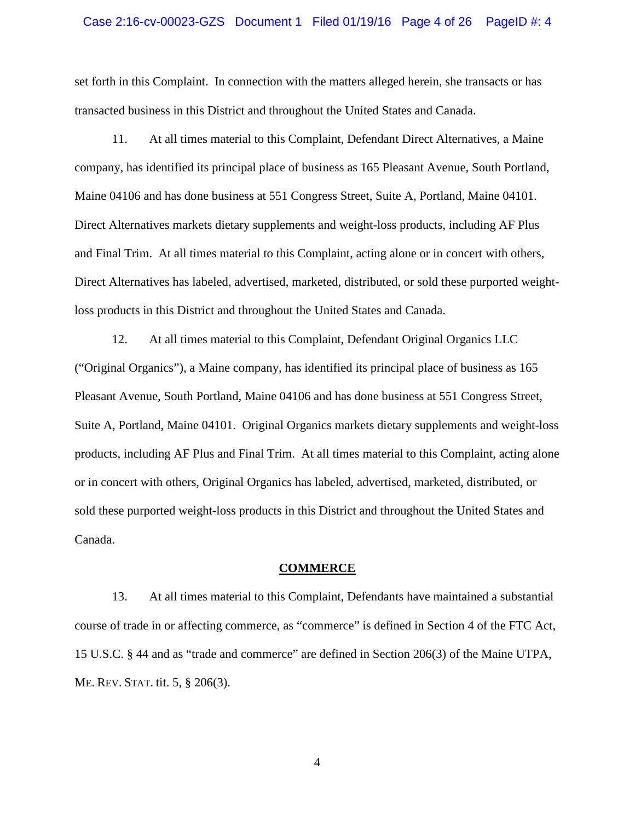# Case 2:16-cv-00023-GZS Document 1 Filed 01/19/16 Page 4 of 26 PageID #: 4

set forth in this Complaint. In connection with the matters alleged herein, she transacts or has transacted business in this District and throughout the United States and Canada.

11. At all times material to this Complaint, Defendant Direct Alternatives, a Maine company, has identified its principal place of business as 165 Pleasant Avenue, South Portland, Maine 04106 and has done business at 551 Congress Street, Suite A, Portland, Maine 04101. Direct Alternatives markets dietary supplements and weight-loss products, including AF Plus and Final Trim. At all times material to this Complaint, acting alone or in concert with others, Direct Alternatives has labeled, advertised, marketed, distributed, or sold these purported weightloss products in this District and throughout the United States and Canada.

12. At all times material to this Complaint, Defendant Original Organics LLC ("Original Organics"), a Maine company, has identified its principal place of business as 165 Pleasant Avenue, South Portland, Maine 04106 and has done business at 551 Congress Street, Suite A, Portland, Maine 04101. Original Organics markets dietary supplements and weight-loss products, including AF Plus and Final Trim. At all times material to this Complaint, acting alone or in concert with others, Original Organics has labeled, advertised, marketed, distributed, or sold these purported weight-loss products in this District and throughout the United States and Canada.

#### **COMMERCE**

13. At all times material to this Complaint, Defendants have maintained a substantial course of trade in or affecting commerce, as "commerce" is defined in Section 4 of the FTC Act, 15 U.S.C. § 44 and as "trade and commerce" are defined in Section 206(3) of the Maine UTPA, ME. REV. STAT. tit. 5, § 206(3).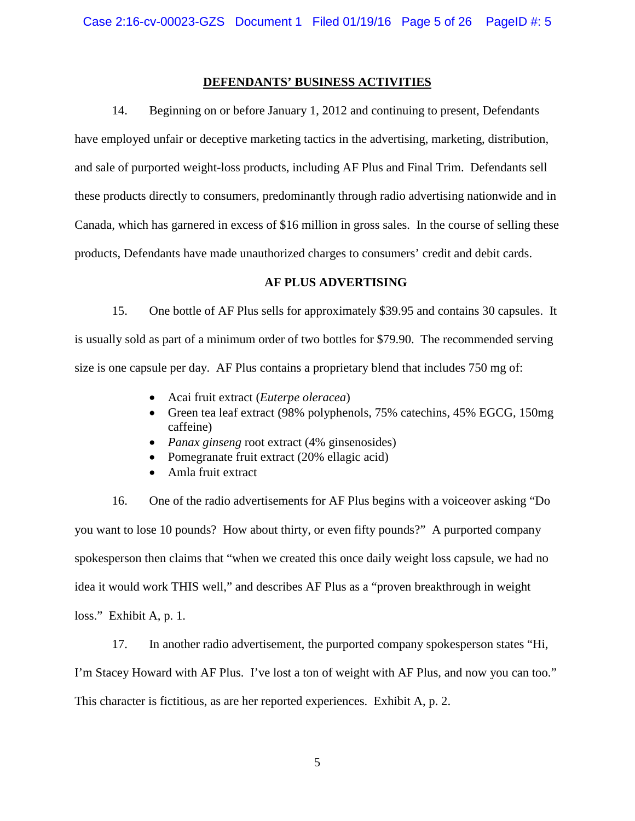# **DEFENDANTS' BUSINESS ACTIVITIES**

14. Beginning on or before January 1, 2012 and continuing to present, Defendants have employed unfair or deceptive marketing tactics in the advertising, marketing, distribution, and sale of purported weight-loss products, including AF Plus and Final Trim. Defendants sell these products directly to consumers, predominantly through radio advertising nationwide and in Canada, which has garnered in excess of \$16 million in gross sales. In the course of selling these products, Defendants have made unauthorized charges to consumers' credit and debit cards.

# **AF PLUS ADVERTISING**

15. One bottle of AF Plus sells for approximately \$39.95 and contains 30 capsules. It is usually sold as part of a minimum order of two bottles for \$79.90. The recommended serving size is one capsule per day. AF Plus contains a proprietary blend that includes 750 mg of:

- Acai fruit extract (*Euterpe oleracea*)
- Green tea leaf extract (98% polyphenols, 75% catechins, 45% EGCG, 150mg caffeine)
- *Panax ginseng* root extract (4% ginsenosides)
- Pomegranate fruit extract (20% ellagic acid)
- Amla fruit extract

16. One of the radio advertisements for AF Plus begins with a voiceover asking "Do you want to lose 10 pounds? How about thirty, or even fifty pounds?" A purported company spokesperson then claims that "when we created this once daily weight loss capsule, we had no idea it would work THIS well," and describes AF Plus as a "proven breakthrough in weight loss." Exhibit A, p. 1.

17. In another radio advertisement, the purported company spokesperson states "Hi, I'm Stacey Howard with AF Plus. I've lost a ton of weight with AF Plus, and now you can too." This character is fictitious, as are her reported experiences. Exhibit A, p. 2.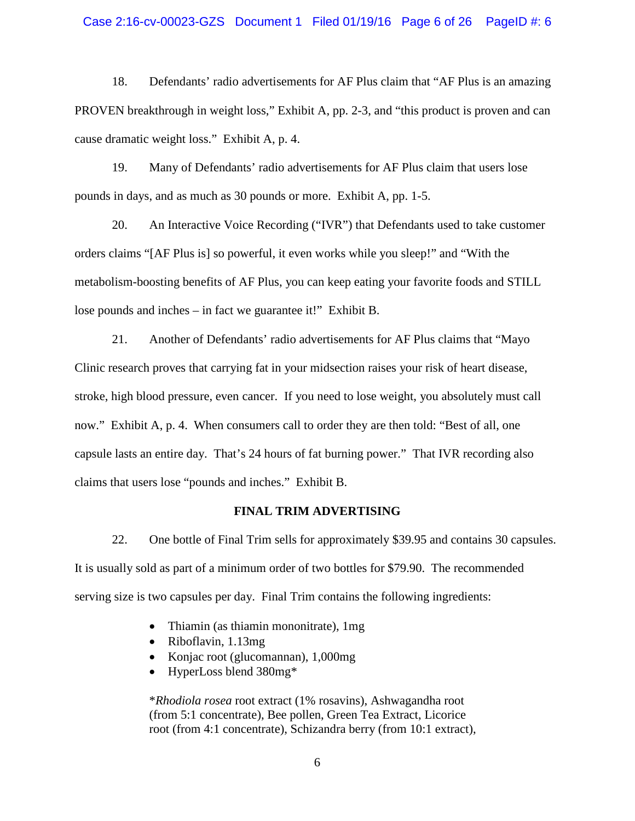### Case 2:16-cv-00023-GZS Document 1 Filed 01/19/16 Page 6 of 26 PageID #: 6

18. Defendants' radio advertisements for AF Plus claim that "AF Plus is an amazing PROVEN breakthrough in weight loss," Exhibit A, pp. 2-3, and "this product is proven and can cause dramatic weight loss." Exhibit A, p. 4.

19. Many of Defendants' radio advertisements for AF Plus claim that users lose pounds in days, and as much as 30 pounds or more. Exhibit A, pp. 1-5.

20. An Interactive Voice Recording ("IVR") that Defendants used to take customer orders claims "[AF Plus is] so powerful, it even works while you sleep!" and "With the metabolism-boosting benefits of AF Plus, you can keep eating your favorite foods and STILL lose pounds and inches – in fact we guarantee it!" Exhibit B.

21. Another of Defendants' radio advertisements for AF Plus claims that "Mayo Clinic research proves that carrying fat in your midsection raises your risk of heart disease, stroke, high blood pressure, even cancer. If you need to lose weight, you absolutely must call now." Exhibit A, p. 4. When consumers call to order they are then told: "Best of all, one capsule lasts an entire day. That's 24 hours of fat burning power." That IVR recording also claims that users lose "pounds and inches." Exhibit B.

#### **FINAL TRIM ADVERTISING**

22. One bottle of Final Trim sells for approximately \$39.95 and contains 30 capsules. It is usually sold as part of a minimum order of two bottles for \$79.90. The recommended serving size is two capsules per day. Final Trim contains the following ingredients:

- Thiamin (as thiamin mononitrate), 1mg
- Riboflavin, 1.13mg
- Konjac root (glucomannan), 1,000mg
- HyperLoss blend 380mg\*

\**Rhodiola rosea* root extract (1% rosavins), Ashwagandha root (from 5:1 concentrate), Bee pollen, Green Tea Extract, Licorice root (from 4:1 concentrate), Schizandra berry (from 10:1 extract),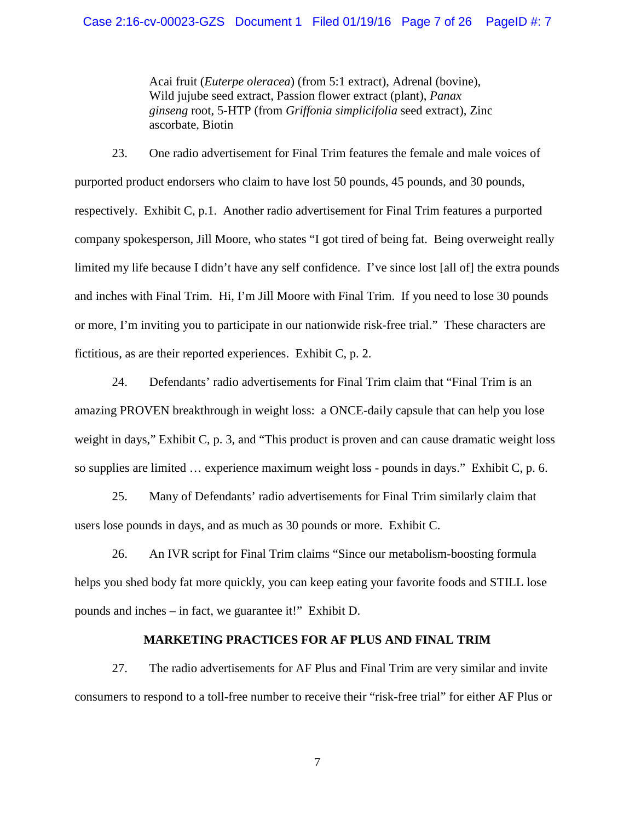Acai fruit (*Euterpe oleracea*) (from 5:1 extract), Adrenal (bovine), Wild jujube seed extract, Passion flower extract (plant), *Panax ginseng* root, 5-HTP (from *Griffonia simplicifolia* seed extract), Zinc ascorbate, Biotin

23. One radio advertisement for Final Trim features the female and male voices of purported product endorsers who claim to have lost 50 pounds, 45 pounds, and 30 pounds, respectively. Exhibit C, p.1. Another radio advertisement for Final Trim features a purported company spokesperson, Jill Moore, who states "I got tired of being fat. Being overweight really limited my life because I didn't have any self confidence. I've since lost [all of] the extra pounds and inches with Final Trim. Hi, I'm Jill Moore with Final Trim. If you need to lose 30 pounds or more, I'm inviting you to participate in our nationwide risk-free trial." These characters are fictitious, as are their reported experiences. Exhibit C, p. 2.

24. Defendants' radio advertisements for Final Trim claim that "Final Trim is an amazing PROVEN breakthrough in weight loss: a ONCE-daily capsule that can help you lose weight in days," Exhibit C, p. 3, and "This product is proven and can cause dramatic weight loss so supplies are limited … experience maximum weight loss - pounds in days." Exhibit C, p. 6.

25. Many of Defendants' radio advertisements for Final Trim similarly claim that users lose pounds in days, and as much as 30 pounds or more. Exhibit C.

26. An IVR script for Final Trim claims "Since our metabolism-boosting formula helps you shed body fat more quickly, you can keep eating your favorite foods and STILL lose pounds and inches – in fact, we guarantee it!" Exhibit D.

# **MARKETING PRACTICES FOR AF PLUS AND FINAL TRIM**

27. The radio advertisements for AF Plus and Final Trim are very similar and invite consumers to respond to a toll-free number to receive their "risk-free trial" for either AF Plus or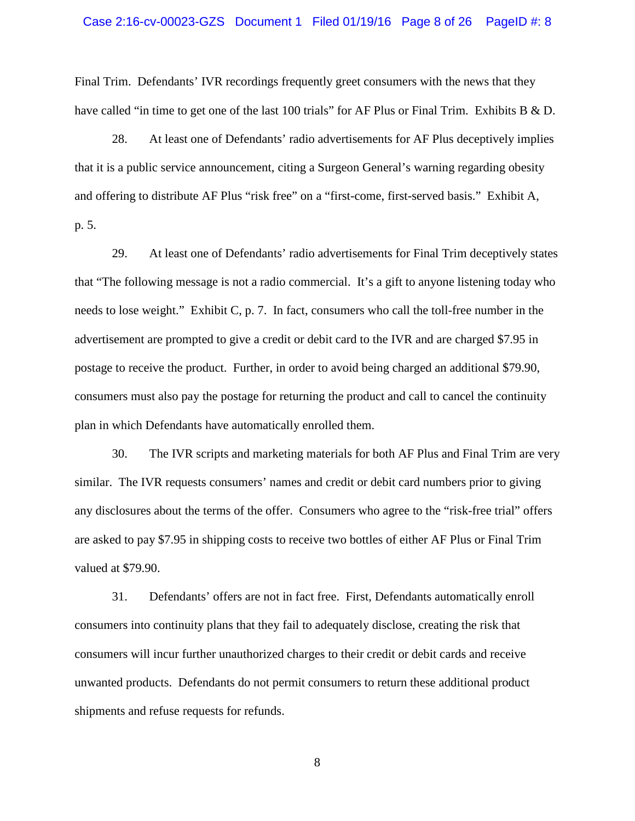# Case 2:16-cv-00023-GZS Document 1 Filed 01/19/16 Page 8 of 26 PageID #: 8

Final Trim. Defendants' IVR recordings frequently greet consumers with the news that they have called "in time to get one of the last 100 trials" for AF Plus or Final Trim. Exhibits B & D.

28. At least one of Defendants' radio advertisements for AF Plus deceptively implies that it is a public service announcement, citing a Surgeon General's warning regarding obesity and offering to distribute AF Plus "risk free" on a "first-come, first-served basis." Exhibit A, p. 5.

29. At least one of Defendants' radio advertisements for Final Trim deceptively states that "The following message is not a radio commercial. It's a gift to anyone listening today who needs to lose weight." Exhibit C, p. 7. In fact, consumers who call the toll-free number in the advertisement are prompted to give a credit or debit card to the IVR and are charged \$7.95 in postage to receive the product. Further, in order to avoid being charged an additional \$79.90, consumers must also pay the postage for returning the product and call to cancel the continuity plan in which Defendants have automatically enrolled them.

30. The IVR scripts and marketing materials for both AF Plus and Final Trim are very similar. The IVR requests consumers' names and credit or debit card numbers prior to giving any disclosures about the terms of the offer. Consumers who agree to the "risk-free trial" offers are asked to pay \$7.95 in shipping costs to receive two bottles of either AF Plus or Final Trim valued at \$79.90.

31. Defendants' offers are not in fact free. First, Defendants automatically enroll consumers into continuity plans that they fail to adequately disclose, creating the risk that consumers will incur further unauthorized charges to their credit or debit cards and receive unwanted products. Defendants do not permit consumers to return these additional product shipments and refuse requests for refunds.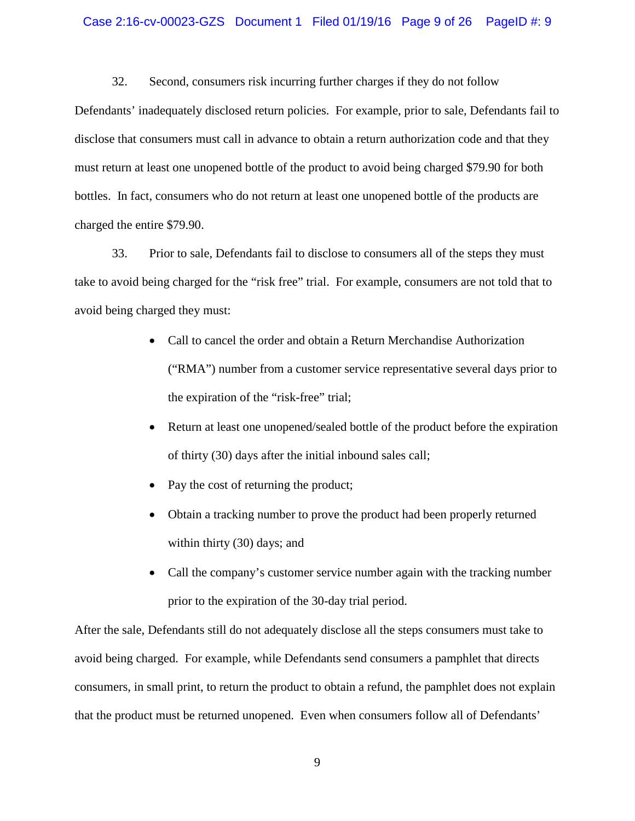### Case 2:16-cv-00023-GZS Document 1 Filed 01/19/16 Page 9 of 26 PageID #: 9

32. Second, consumers risk incurring further charges if they do not follow

Defendants' inadequately disclosed return policies. For example, prior to sale, Defendants fail to disclose that consumers must call in advance to obtain a return authorization code and that they must return at least one unopened bottle of the product to avoid being charged \$79.90 for both bottles. In fact, consumers who do not return at least one unopened bottle of the products are charged the entire \$79.90.

33. Prior to sale, Defendants fail to disclose to consumers all of the steps they must take to avoid being charged for the "risk free" trial. For example, consumers are not told that to avoid being charged they must:

- Call to cancel the order and obtain a Return Merchandise Authorization ("RMA") number from a customer service representative several days prior to the expiration of the "risk-free" trial;
- Return at least one unopened/sealed bottle of the product before the expiration of thirty (30) days after the initial inbound sales call;
- Pay the cost of returning the product;
- Obtain a tracking number to prove the product had been properly returned within thirty (30) days; and
- Call the company's customer service number again with the tracking number prior to the expiration of the 30-day trial period.

After the sale, Defendants still do not adequately disclose all the steps consumers must take to avoid being charged. For example, while Defendants send consumers a pamphlet that directs consumers, in small print, to return the product to obtain a refund, the pamphlet does not explain that the product must be returned unopened. Even when consumers follow all of Defendants'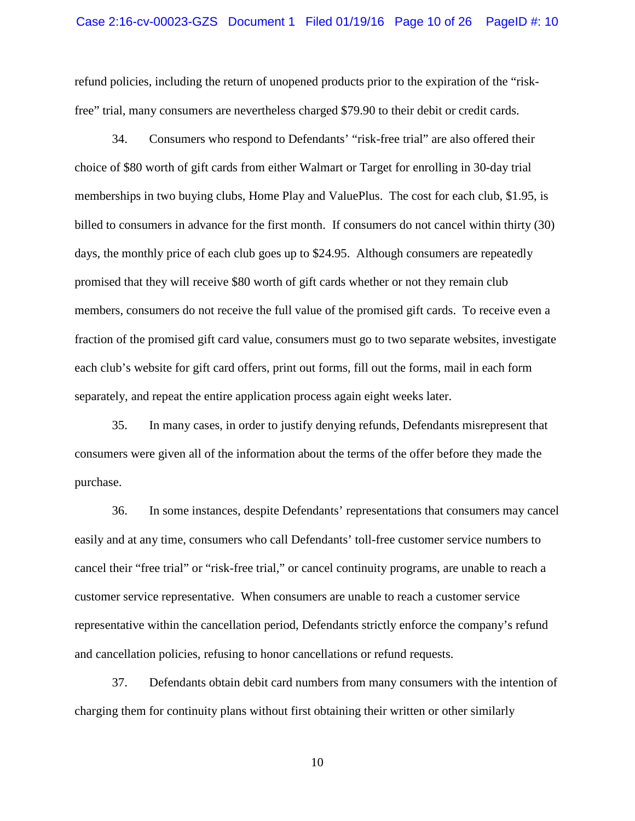### Case 2:16-cv-00023-GZS Document 1 Filed 01/19/16 Page 10 of 26 PageID #: 10

refund policies, including the return of unopened products prior to the expiration of the "riskfree" trial, many consumers are nevertheless charged \$79.90 to their debit or credit cards.

34. Consumers who respond to Defendants' "risk-free trial" are also offered their choice of \$80 worth of gift cards from either Walmart or Target for enrolling in 30-day trial memberships in two buying clubs, Home Play and ValuePlus. The cost for each club, \$1.95, is billed to consumers in advance for the first month. If consumers do not cancel within thirty (30) days, the monthly price of each club goes up to \$24.95. Although consumers are repeatedly promised that they will receive \$80 worth of gift cards whether or not they remain club members, consumers do not receive the full value of the promised gift cards. To receive even a fraction of the promised gift card value, consumers must go to two separate websites, investigate each club's website for gift card offers, print out forms, fill out the forms, mail in each form separately, and repeat the entire application process again eight weeks later.

35. In many cases, in order to justify denying refunds, Defendants misrepresent that consumers were given all of the information about the terms of the offer before they made the purchase.

36. In some instances, despite Defendants' representations that consumers may cancel easily and at any time, consumers who call Defendants' toll-free customer service numbers to cancel their "free trial" or "risk-free trial," or cancel continuity programs, are unable to reach a customer service representative. When consumers are unable to reach a customer service representative within the cancellation period, Defendants strictly enforce the company's refund and cancellation policies, refusing to honor cancellations or refund requests.

37. Defendants obtain debit card numbers from many consumers with the intention of charging them for continuity plans without first obtaining their written or other similarly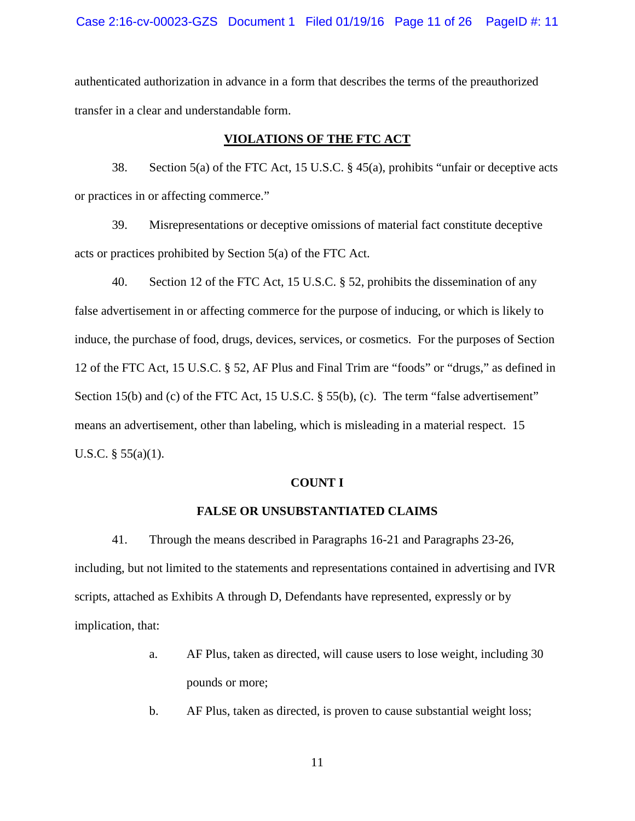authenticated authorization in advance in a form that describes the terms of the preauthorized transfer in a clear and understandable form.

# **VIOLATIONS OF THE FTC ACT**

38. Section 5(a) of the FTC Act, 15 U.S.C. § 45(a), prohibits "unfair or deceptive acts or practices in or affecting commerce."

39. Misrepresentations or deceptive omissions of material fact constitute deceptive acts or practices prohibited by Section 5(a) of the FTC Act.

40. Section 12 of the FTC Act, 15 U.S.C. § 52, prohibits the dissemination of any false advertisement in or affecting commerce for the purpose of inducing, or which is likely to induce, the purchase of food, drugs, devices, services, or cosmetics. For the purposes of Section 12 of the FTC Act, 15 U.S.C. § 52, AF Plus and Final Trim are "foods" or "drugs," as defined in Section 15(b) and (c) of the FTC Act, 15 U.S.C. § 55(b), (c). The term "false advertisement" means an advertisement, other than labeling, which is misleading in a material respect. 15 U.S.C. § 55(a)(1).

#### **COUNT I**

#### **FALSE OR UNSUBSTANTIATED CLAIMS**

41. Through the means described in Paragraphs 16-21 and Paragraphs 23-26, including, but not limited to the statements and representations contained in advertising and IVR scripts, attached as Exhibits A through D, Defendants have represented, expressly or by implication, that:

- a. AF Plus, taken as directed, will cause users to lose weight, including 30 pounds or more;
- b. AF Plus, taken as directed, is proven to cause substantial weight loss;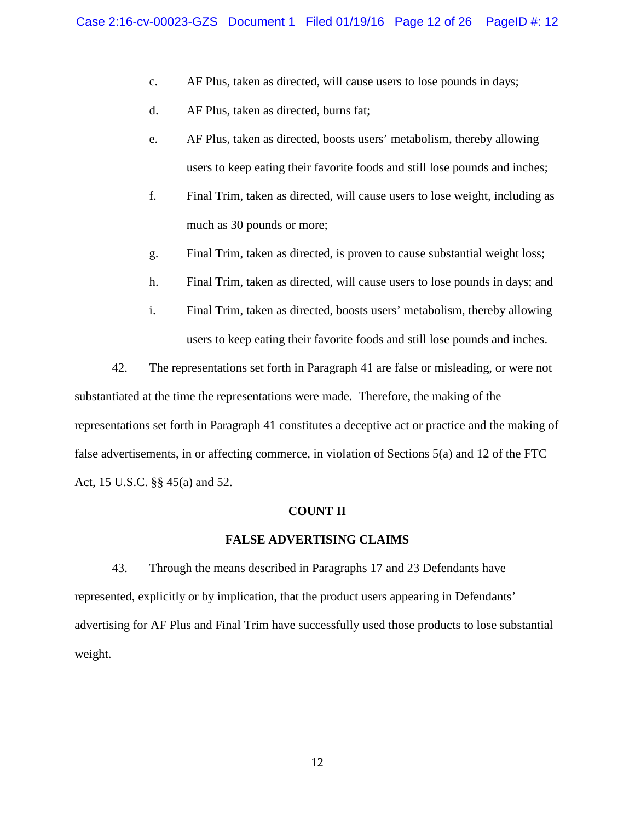- c. AF Plus, taken as directed, will cause users to lose pounds in days;
- d. AF Plus, taken as directed, burns fat;
- e. AF Plus, taken as directed, boosts users' metabolism, thereby allowing users to keep eating their favorite foods and still lose pounds and inches;
- f. Final Trim, taken as directed, will cause users to lose weight, including as much as 30 pounds or more;
- g. Final Trim, taken as directed, is proven to cause substantial weight loss;
- h. Final Trim, taken as directed, will cause users to lose pounds in days; and
- i. Final Trim, taken as directed, boosts users' metabolism, thereby allowing users to keep eating their favorite foods and still lose pounds and inches.

42. The representations set forth in Paragraph 41 are false or misleading, or were not substantiated at the time the representations were made. Therefore, the making of the representations set forth in Paragraph 41 constitutes a deceptive act or practice and the making of false advertisements, in or affecting commerce, in violation of Sections 5(a) and 12 of the FTC Act, 15 U.S.C. §§ 45(a) and 52.

#### **COUNT II**

### **FALSE ADVERTISING CLAIMS**

43. Through the means described in Paragraphs 17 and 23 Defendants have represented, explicitly or by implication, that the product users appearing in Defendants' advertising for AF Plus and Final Trim have successfully used those products to lose substantial weight.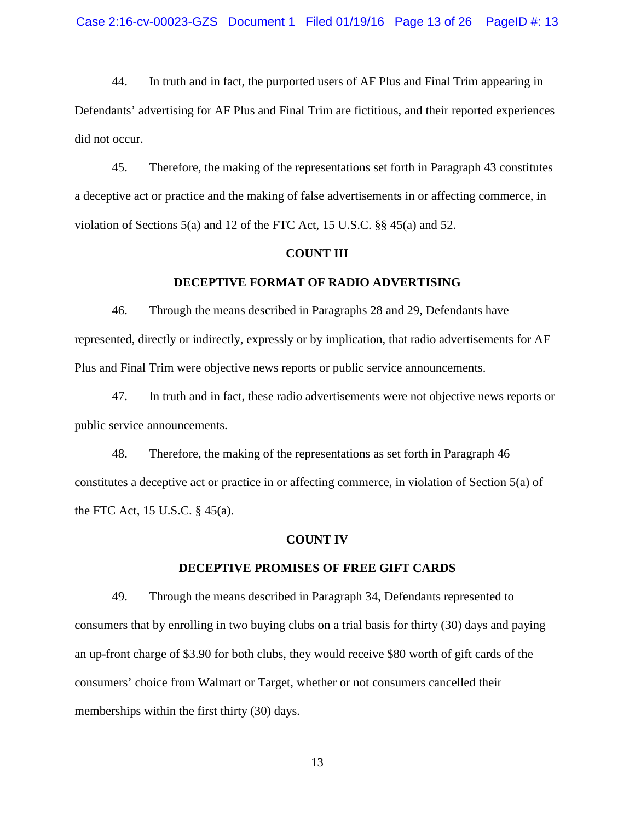44. In truth and in fact, the purported users of AF Plus and Final Trim appearing in Defendants' advertising for AF Plus and Final Trim are fictitious, and their reported experiences did not occur.

45. Therefore, the making of the representations set forth in Paragraph 43 constitutes a deceptive act or practice and the making of false advertisements in or affecting commerce, in violation of Sections 5(a) and 12 of the FTC Act, 15 U.S.C. §§ 45(a) and 52.

### **COUNT III**

#### **DECEPTIVE FORMAT OF RADIO ADVERTISING**

46. Through the means described in Paragraphs 28 and 29, Defendants have represented, directly or indirectly, expressly or by implication, that radio advertisements for AF Plus and Final Trim were objective news reports or public service announcements.

47. In truth and in fact, these radio advertisements were not objective news reports or public service announcements.

48. Therefore, the making of the representations as set forth in Paragraph 46 constitutes a deceptive act or practice in or affecting commerce, in violation of Section 5(a) of the FTC Act, 15 U.S.C. § 45(a).

#### **COUNT IV**

### **DECEPTIVE PROMISES OF FREE GIFT CARDS**

49. Through the means described in Paragraph 34, Defendants represented to consumers that by enrolling in two buying clubs on a trial basis for thirty (30) days and paying an up-front charge of \$3.90 for both clubs, they would receive \$80 worth of gift cards of the consumers' choice from Walmart or Target, whether or not consumers cancelled their memberships within the first thirty (30) days.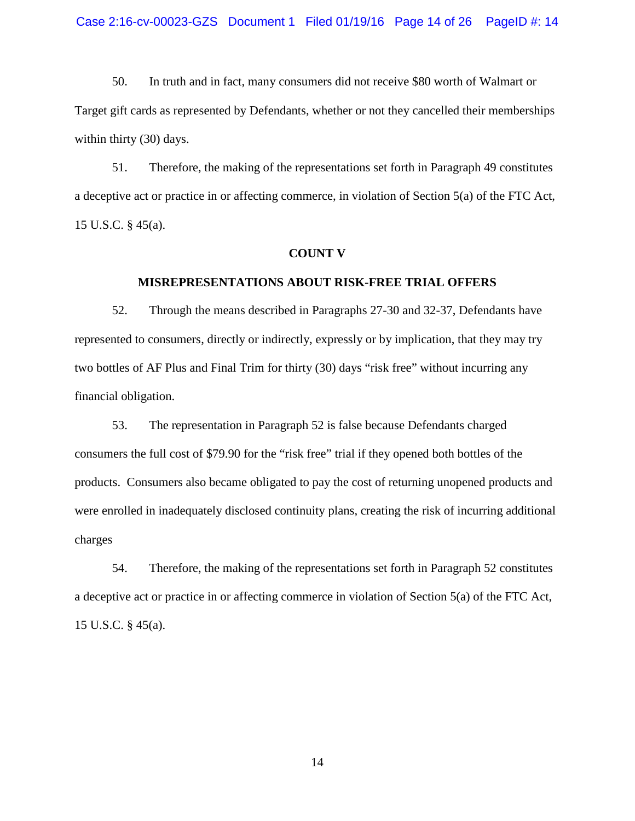50. In truth and in fact, many consumers did not receive \$80 worth of Walmart or Target gift cards as represented by Defendants, whether or not they cancelled their memberships within thirty (30) days.

51. Therefore, the making of the representations set forth in Paragraph 49 constitutes a deceptive act or practice in or affecting commerce, in violation of Section 5(a) of the FTC Act, 15 U.S.C. § 45(a).

#### **COUNT V**

#### **MISREPRESENTATIONS ABOUT RISK-FREE TRIAL OFFERS**

52. Through the means described in Paragraphs 27-30 and 32-37, Defendants have represented to consumers, directly or indirectly, expressly or by implication, that they may try two bottles of AF Plus and Final Trim for thirty (30) days "risk free" without incurring any financial obligation.

53. The representation in Paragraph 52 is false because Defendants charged consumers the full cost of \$79.90 for the "risk free" trial if they opened both bottles of the products. Consumers also became obligated to pay the cost of returning unopened products and were enrolled in inadequately disclosed continuity plans, creating the risk of incurring additional charges

54. Therefore, the making of the representations set forth in Paragraph 52 constitutes a deceptive act or practice in or affecting commerce in violation of Section 5(a) of the FTC Act, 15 U.S.C. § 45(a).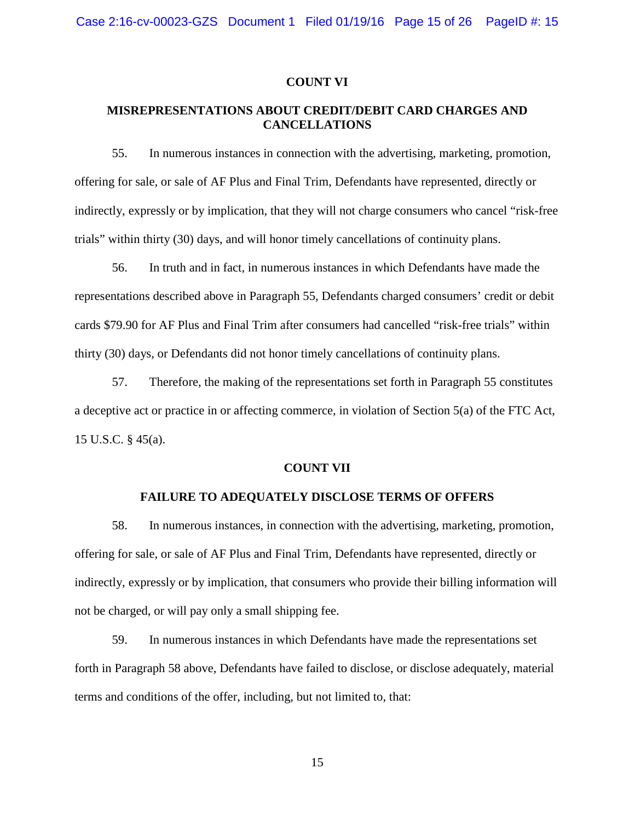### **COUNT VI**

# **MISREPRESENTATIONS ABOUT CREDIT/DEBIT CARD CHARGES AND CANCELLATIONS**

55. In numerous instances in connection with the advertising, marketing, promotion, offering for sale, or sale of AF Plus and Final Trim, Defendants have represented, directly or indirectly, expressly or by implication, that they will not charge consumers who cancel "risk-free trials" within thirty (30) days, and will honor timely cancellations of continuity plans.

56. In truth and in fact, in numerous instances in which Defendants have made the representations described above in Paragraph 55, Defendants charged consumers' credit or debit cards \$79.90 for AF Plus and Final Trim after consumers had cancelled "risk-free trials" within thirty (30) days, or Defendants did not honor timely cancellations of continuity plans.

57. Therefore, the making of the representations set forth in Paragraph 55 constitutes a deceptive act or practice in or affecting commerce, in violation of Section 5(a) of the FTC Act, 15 U.S.C. § 45(a).

### **COUNT VII**

# **FAILURE TO ADEQUATELY DISCLOSE TERMS OF OFFERS**

58. In numerous instances, in connection with the advertising, marketing, promotion, offering for sale, or sale of AF Plus and Final Trim, Defendants have represented, directly or indirectly, expressly or by implication, that consumers who provide their billing information will not be charged, or will pay only a small shipping fee.

59. In numerous instances in which Defendants have made the representations set forth in Paragraph 58 above, Defendants have failed to disclose, or disclose adequately, material terms and conditions of the offer, including, but not limited to, that: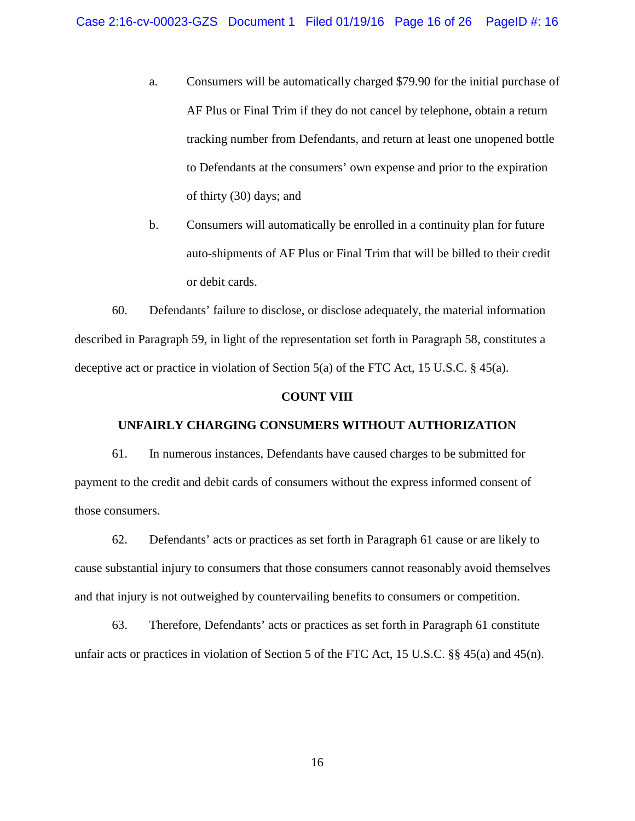- a. Consumers will be automatically charged \$79.90 for the initial purchase of AF Plus or Final Trim if they do not cancel by telephone, obtain a return tracking number from Defendants, and return at least one unopened bottle to Defendants at the consumers' own expense and prior to the expiration of thirty (30) days; and
- b. Consumers will automatically be enrolled in a continuity plan for future auto-shipments of AF Plus or Final Trim that will be billed to their credit or debit cards.

60. Defendants' failure to disclose, or disclose adequately, the material information described in Paragraph 59, in light of the representation set forth in Paragraph 58, constitutes a deceptive act or practice in violation of Section 5(a) of the FTC Act, 15 U.S.C. § 45(a).

### **COUNT VIII**

### **UNFAIRLY CHARGING CONSUMERS WITHOUT AUTHORIZATION**

61. In numerous instances, Defendants have caused charges to be submitted for payment to the credit and debit cards of consumers without the express informed consent of those consumers.

62. Defendants' acts or practices as set forth in Paragraph 61 cause or are likely to cause substantial injury to consumers that those consumers cannot reasonably avoid themselves and that injury is not outweighed by countervailing benefits to consumers or competition.

63. Therefore, Defendants' acts or practices as set forth in Paragraph 61 constitute unfair acts or practices in violation of Section 5 of the FTC Act, 15 U.S.C. §§ 45(a) and 45(n).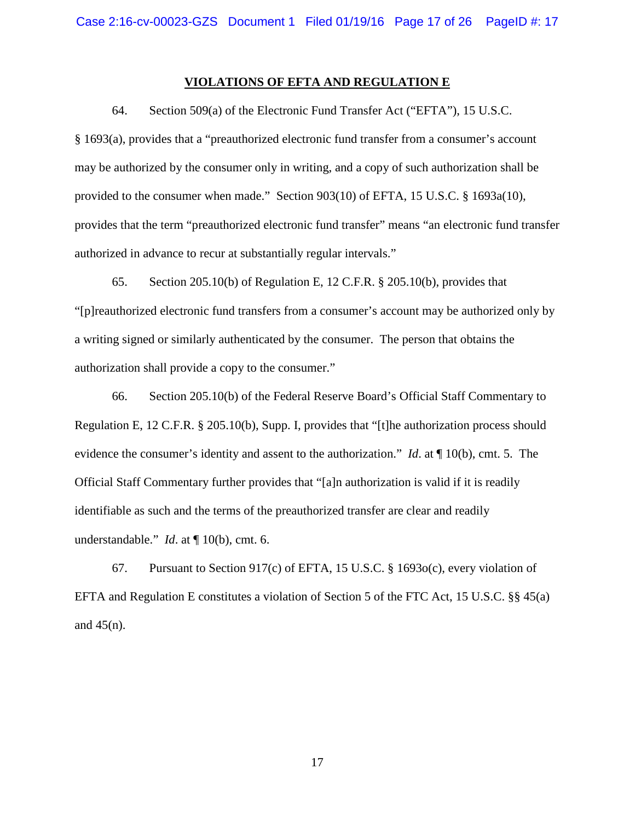### **VIOLATIONS OF EFTA AND REGULATION E**

64. Section 509(a) of the Electronic Fund Transfer Act ("EFTA"), 15 U.S.C.

§ 1693(a), provides that a "preauthorized electronic fund transfer from a consumer's account may be authorized by the consumer only in writing, and a copy of such authorization shall be provided to the consumer when made." Section 903(10) of EFTA, 15 U.S.C. § 1693a(10), provides that the term "preauthorized electronic fund transfer" means "an electronic fund transfer authorized in advance to recur at substantially regular intervals."

65. Section 205.10(b) of Regulation E, 12 C.F.R. § 205.10(b), provides that "[p]reauthorized electronic fund transfers from a consumer's account may be authorized only by a writing signed or similarly authenticated by the consumer. The person that obtains the authorization shall provide a copy to the consumer."

66. Section 205.10(b) of the Federal Reserve Board's Official Staff Commentary to Regulation E, 12 C.F.R. § 205.10(b), Supp. I, provides that "[t]he authorization process should evidence the consumer's identity and assent to the authorization." *Id*. at ¶ 10(b), cmt. 5. The Official Staff Commentary further provides that "[a]n authorization is valid if it is readily identifiable as such and the terms of the preauthorized transfer are clear and readily understandable." *Id*. at ¶ 10(b), cmt. 6.

67. Pursuant to Section 917(c) of EFTA, 15 U.S.C. § 1693o(c), every violation of EFTA and Regulation E constitutes a violation of Section 5 of the FTC Act, 15 U.S.C. §§ 45(a) and  $45(n)$ .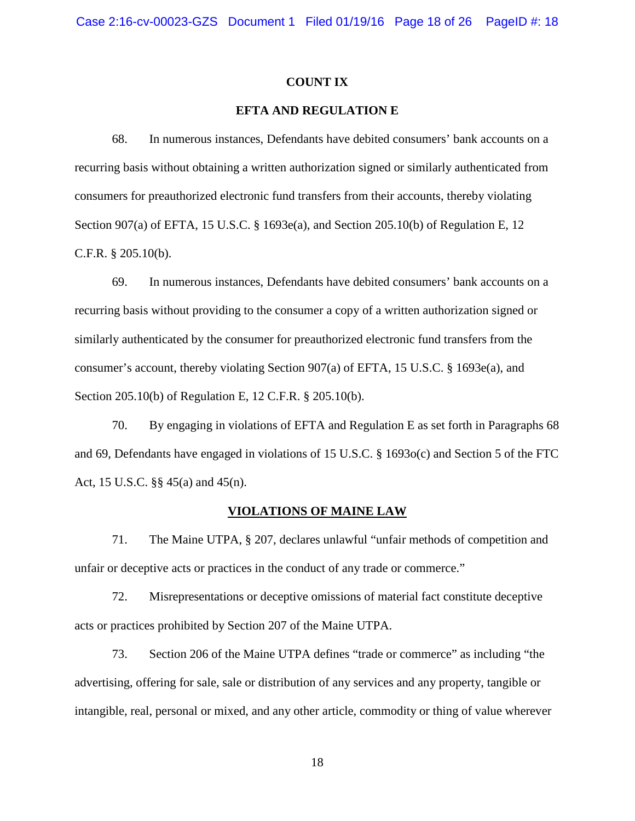#### **COUNT IX**

# **EFTA AND REGULATION E**

68. In numerous instances, Defendants have debited consumers' bank accounts on a recurring basis without obtaining a written authorization signed or similarly authenticated from consumers for preauthorized electronic fund transfers from their accounts, thereby violating Section 907(a) of EFTA, 15 U.S.C. § 1693e(a), and Section 205.10(b) of Regulation E, 12 C.F.R. § 205.10(b).

69. In numerous instances, Defendants have debited consumers' bank accounts on a recurring basis without providing to the consumer a copy of a written authorization signed or similarly authenticated by the consumer for preauthorized electronic fund transfers from the consumer's account, thereby violating Section 907(a) of EFTA, 15 U.S.C. § 1693e(a), and Section 205.10(b) of Regulation E, 12 C.F.R. § 205.10(b).

70. By engaging in violations of EFTA and Regulation E as set forth in Paragraphs 68 and 69, Defendants have engaged in violations of 15 U.S.C. § 1693o(c) and Section 5 of the FTC Act, 15 U.S.C. §§ 45(a) and 45(n).

#### **VIOLATIONS OF MAINE LAW**

71. The Maine UTPA, § 207, declares unlawful "unfair methods of competition and unfair or deceptive acts or practices in the conduct of any trade or commerce."

72. Misrepresentations or deceptive omissions of material fact constitute deceptive acts or practices prohibited by Section 207 of the Maine UTPA.

73. Section 206 of the Maine UTPA defines "trade or commerce" as including "the advertising, offering for sale, sale or distribution of any services and any property, tangible or intangible, real, personal or mixed, and any other article, commodity or thing of value wherever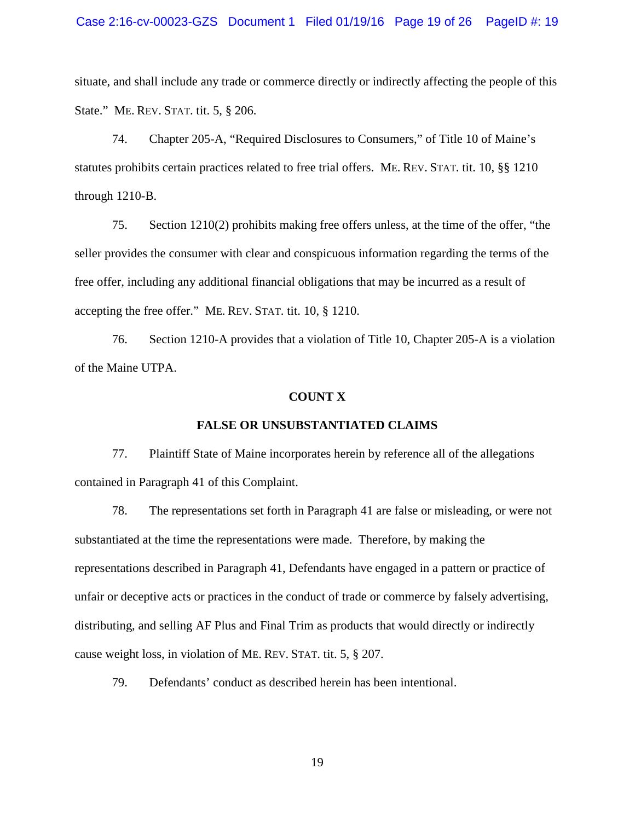### Case 2:16-cv-00023-GZS Document 1 Filed 01/19/16 Page 19 of 26 PageID #: 19

situate, and shall include any trade or commerce directly or indirectly affecting the people of this State." ME. REV. STAT. tit. 5, § 206.

74. Chapter 205-A, "Required Disclosures to Consumers," of Title 10 of Maine's statutes prohibits certain practices related to free trial offers. ME. REV. STAT. tit. 10, §§ 1210 through 1210-B.

75. Section 1210(2) prohibits making free offers unless, at the time of the offer, "the seller provides the consumer with clear and conspicuous information regarding the terms of the free offer, including any additional financial obligations that may be incurred as a result of accepting the free offer." ME. REV. STAT. tit. 10, § 1210.

76. Section 1210-A provides that a violation of Title 10, Chapter 205-A is a violation of the Maine UTPA.

### **COUNT X**

### **FALSE OR UNSUBSTANTIATED CLAIMS**

77. Plaintiff State of Maine incorporates herein by reference all of the allegations contained in Paragraph 41 of this Complaint.

78. The representations set forth in Paragraph 41 are false or misleading, or were not substantiated at the time the representations were made. Therefore, by making the representations described in Paragraph 41, Defendants have engaged in a pattern or practice of unfair or deceptive acts or practices in the conduct of trade or commerce by falsely advertising, distributing, and selling AF Plus and Final Trim as products that would directly or indirectly cause weight loss, in violation of ME. REV. STAT. tit. 5, § 207.

79. Defendants' conduct as described herein has been intentional.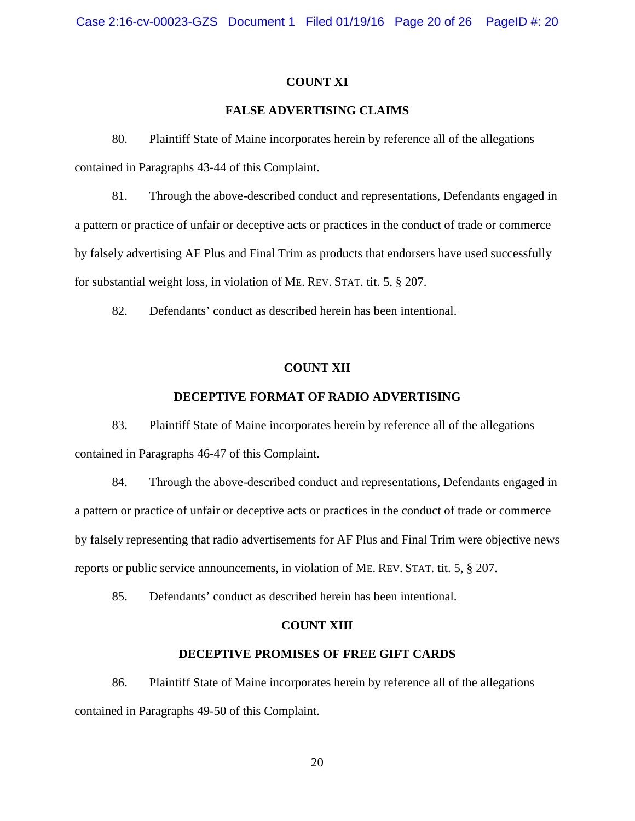### **COUNT XI**

# **FALSE ADVERTISING CLAIMS**

80. Plaintiff State of Maine incorporates herein by reference all of the allegations contained in Paragraphs 43-44 of this Complaint.

81. Through the above-described conduct and representations, Defendants engaged in a pattern or practice of unfair or deceptive acts or practices in the conduct of trade or commerce by falsely advertising AF Plus and Final Trim as products that endorsers have used successfully for substantial weight loss, in violation of ME. REV. STAT. tit. 5, § 207.

82. Defendants' conduct as described herein has been intentional.

### **COUNT XII**

### **DECEPTIVE FORMAT OF RADIO ADVERTISING**

83. Plaintiff State of Maine incorporates herein by reference all of the allegations contained in Paragraphs 46-47 of this Complaint.

84. Through the above-described conduct and representations, Defendants engaged in a pattern or practice of unfair or deceptive acts or practices in the conduct of trade or commerce by falsely representing that radio advertisements for AF Plus and Final Trim were objective news reports or public service announcements, in violation of ME. REV. STAT. tit. 5, § 207.

85. Defendants' conduct as described herein has been intentional.

#### **COUNT XIII**

### **DECEPTIVE PROMISES OF FREE GIFT CARDS**

86. Plaintiff State of Maine incorporates herein by reference all of the allegations contained in Paragraphs 49-50 of this Complaint.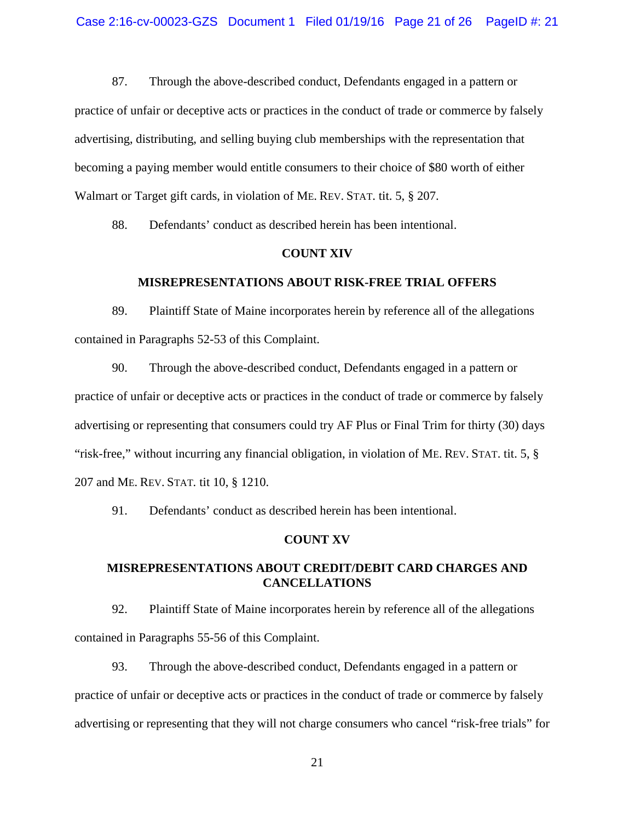87. Through the above-described conduct, Defendants engaged in a pattern or practice of unfair or deceptive acts or practices in the conduct of trade or commerce by falsely advertising, distributing, and selling buying club memberships with the representation that becoming a paying member would entitle consumers to their choice of \$80 worth of either Walmart or Target gift cards, in violation of ME. REV. STAT. tit. 5, § 207.

88. Defendants' conduct as described herein has been intentional.

#### **COUNT XIV**

#### **MISREPRESENTATIONS ABOUT RISK-FREE TRIAL OFFERS**

89. Plaintiff State of Maine incorporates herein by reference all of the allegations contained in Paragraphs 52-53 of this Complaint.

90. Through the above-described conduct, Defendants engaged in a pattern or practice of unfair or deceptive acts or practices in the conduct of trade or commerce by falsely advertising or representing that consumers could try AF Plus or Final Trim for thirty (30) days "risk-free," without incurring any financial obligation, in violation of ME. REV. STAT. tit. 5, § 207 and ME. REV. STAT. tit 10, § 1210.

91. Defendants' conduct as described herein has been intentional.

#### **COUNT XV**

# **MISREPRESENTATIONS ABOUT CREDIT/DEBIT CARD CHARGES AND CANCELLATIONS**

92. Plaintiff State of Maine incorporates herein by reference all of the allegations contained in Paragraphs 55-56 of this Complaint.

93. Through the above-described conduct, Defendants engaged in a pattern or practice of unfair or deceptive acts or practices in the conduct of trade or commerce by falsely advertising or representing that they will not charge consumers who cancel "risk-free trials" for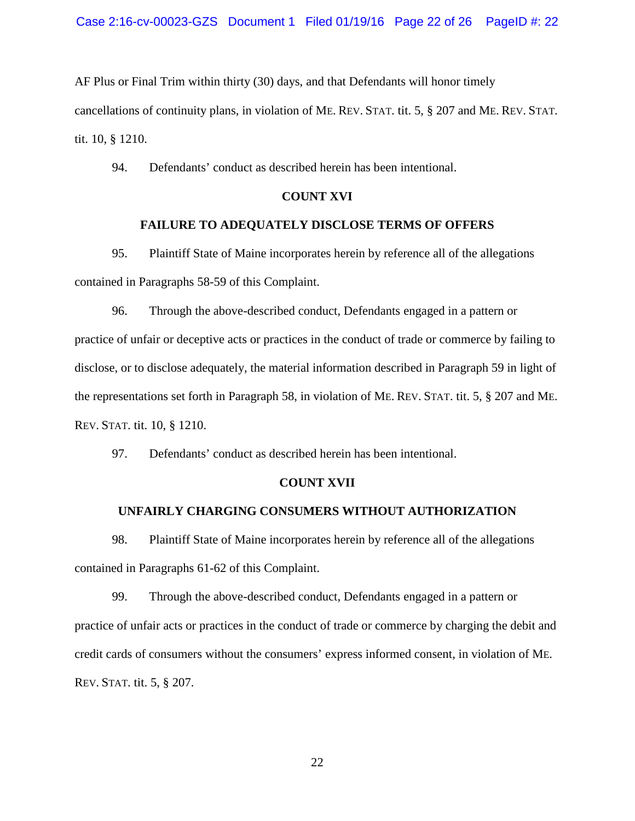AF Plus or Final Trim within thirty (30) days, and that Defendants will honor timely cancellations of continuity plans, in violation of ME. REV. STAT. tit. 5, § 207 and ME. REV. STAT. tit. 10, § 1210.

94. Defendants' conduct as described herein has been intentional.

# **COUNT XVI**

# **FAILURE TO ADEQUATELY DISCLOSE TERMS OF OFFERS**

95. Plaintiff State of Maine incorporates herein by reference all of the allegations contained in Paragraphs 58-59 of this Complaint.

96. Through the above-described conduct, Defendants engaged in a pattern or practice of unfair or deceptive acts or practices in the conduct of trade or commerce by failing to disclose, or to disclose adequately, the material information described in Paragraph 59 in light of the representations set forth in Paragraph 58, in violation of ME. REV. STAT. tit. 5, § 207 and ME. REV. STAT. tit. 10, § 1210.

97. Defendants' conduct as described herein has been intentional.

#### **COUNT XVII**

# **UNFAIRLY CHARGING CONSUMERS WITHOUT AUTHORIZATION**

98. Plaintiff State of Maine incorporates herein by reference all of the allegations contained in Paragraphs 61-62 of this Complaint.

99. Through the above-described conduct, Defendants engaged in a pattern or practice of unfair acts or practices in the conduct of trade or commerce by charging the debit and credit cards of consumers without the consumers' express informed consent, in violation of ME. REV. STAT. tit. 5, § 207.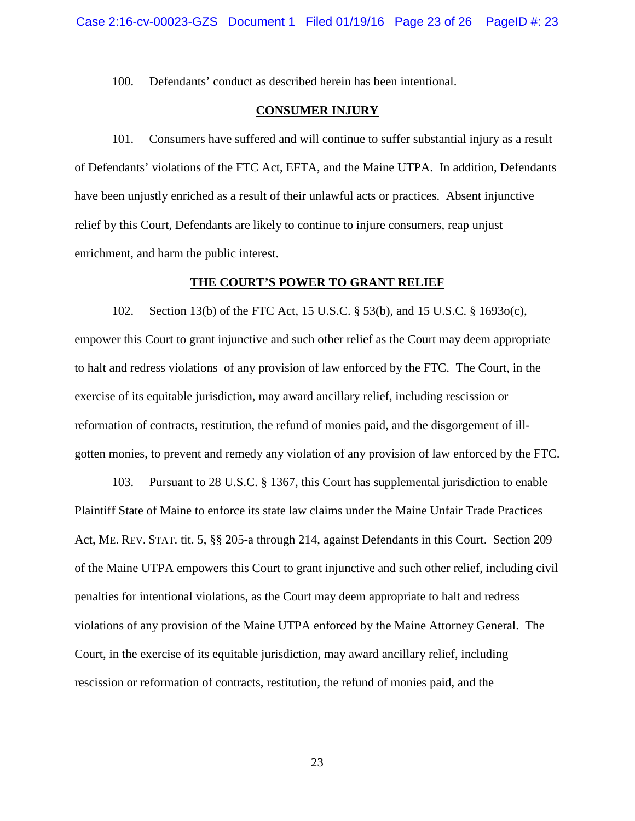100. Defendants' conduct as described herein has been intentional.

# **CONSUMER INJURY**

101. Consumers have suffered and will continue to suffer substantial injury as a result of Defendants' violations of the FTC Act, EFTA, and the Maine UTPA. In addition, Defendants have been unjustly enriched as a result of their unlawful acts or practices. Absent injunctive relief by this Court, Defendants are likely to continue to injure consumers, reap unjust enrichment, and harm the public interest.

### **THE COURT'S POWER TO GRANT RELIEF**

102. Section 13(b) of the FTC Act, 15 U.S.C. § 53(b), and 15 U.S.C. § 1693o(c), empower this Court to grant injunctive and such other relief as the Court may deem appropriate to halt and redress violations of any provision of law enforced by the FTC. The Court, in the exercise of its equitable jurisdiction, may award ancillary relief, including rescission or reformation of contracts, restitution, the refund of monies paid, and the disgorgement of illgotten monies, to prevent and remedy any violation of any provision of law enforced by the FTC.

103. Pursuant to 28 U.S.C. § 1367, this Court has supplemental jurisdiction to enable Plaintiff State of Maine to enforce its state law claims under the Maine Unfair Trade Practices Act, ME. REV. STAT. tit. 5, §§ 205-a through 214, against Defendants in this Court. Section 209 of the Maine UTPA empowers this Court to grant injunctive and such other relief, including civil penalties for intentional violations, as the Court may deem appropriate to halt and redress violations of any provision of the Maine UTPA enforced by the Maine Attorney General. The Court, in the exercise of its equitable jurisdiction, may award ancillary relief, including rescission or reformation of contracts, restitution, the refund of monies paid, and the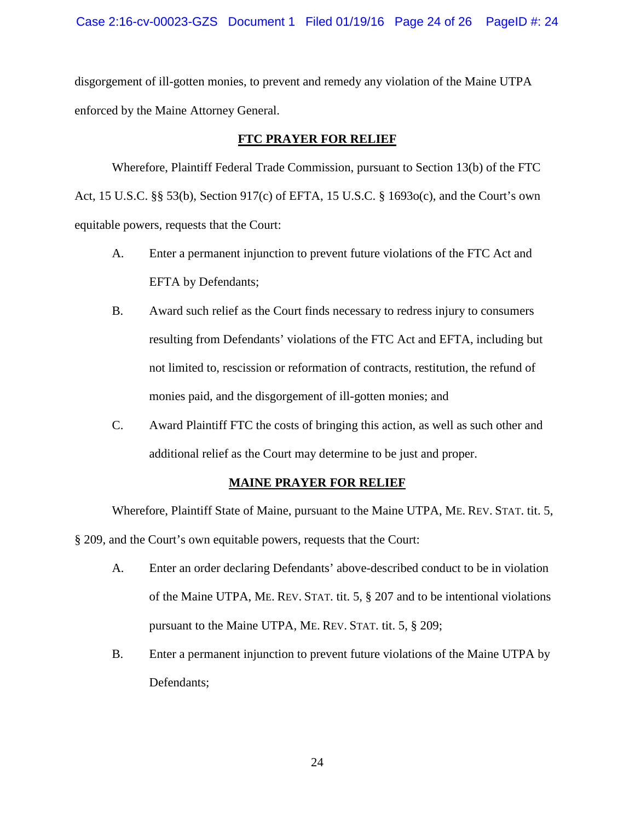disgorgement of ill-gotten monies, to prevent and remedy any violation of the Maine UTPA enforced by the Maine Attorney General.

# **FTC PRAYER FOR RELIEF**

Wherefore, Plaintiff Federal Trade Commission, pursuant to Section 13(b) of the FTC Act, 15 U.S.C. §§ 53(b), Section 917(c) of EFTA, 15 U.S.C. § 1693o(c), and the Court's own equitable powers, requests that the Court:

- A. Enter a permanent injunction to prevent future violations of the FTC Act and EFTA by Defendants;
- B. Award such relief as the Court finds necessary to redress injury to consumers resulting from Defendants' violations of the FTC Act and EFTA, including but not limited to, rescission or reformation of contracts, restitution, the refund of monies paid, and the disgorgement of ill-gotten monies; and
- C. Award Plaintiff FTC the costs of bringing this action, as well as such other and additional relief as the Court may determine to be just and proper.

# **MAINE PRAYER FOR RELIEF**

Wherefore, Plaintiff State of Maine, pursuant to the Maine UTPA, ME. REV. STAT. tit. 5, § 209, and the Court's own equitable powers, requests that the Court:

- A. Enter an order declaring Defendants' above-described conduct to be in violation of the Maine UTPA, ME. REV. STAT. tit. 5, § 207 and to be intentional violations pursuant to the Maine UTPA, ME. REV. STAT. tit. 5, § 209;
- B. Enter a permanent injunction to prevent future violations of the Maine UTPA by Defendants;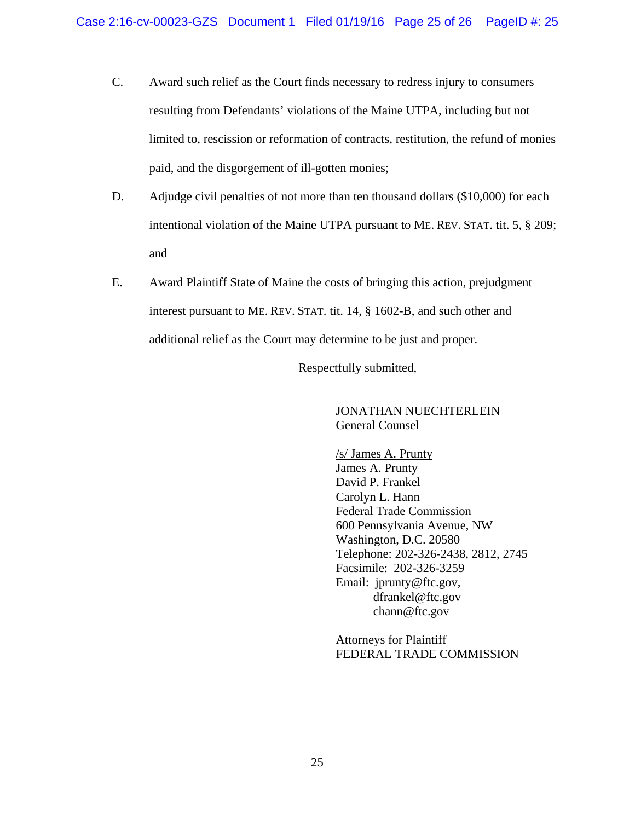- C. Award such relief as the Court finds necessary to redress injury to consumers resulting from Defendants' violations of the Maine UTPA, including but not limited to, rescission or reformation of contracts, restitution, the refund of monies paid, and the disgorgement of ill-gotten monies;
- D. Adjudge civil penalties of not more than ten thousand dollars (\$10,000) for each intentional violation of the Maine UTPA pursuant to ME. REV. STAT. tit. 5, § 209; and
- E. Award Plaintiff State of Maine the costs of bringing this action, prejudgment interest pursuant to ME. REV. STAT. tit. 14, § 1602-B, and such other and additional relief as the Court may determine to be just and proper.

Respectfully submitted,

 JONATHAN NUECHTERLEIN General Counsel

 /s/ James A. Prunty James A. Prunty David P. Frankel Carolyn L. Hann Federal Trade Commission 600 Pennsylvania Avenue, NW Washington, D.C. 20580 Telephone: 202-326-2438, 2812, 2745 Facsimile: 202-326-3259 Email: jprunty@ftc.gov, dfrankel@ftc.gov chann@ftc.gov

 Attorneys for Plaintiff FEDERAL TRADE COMMISSION